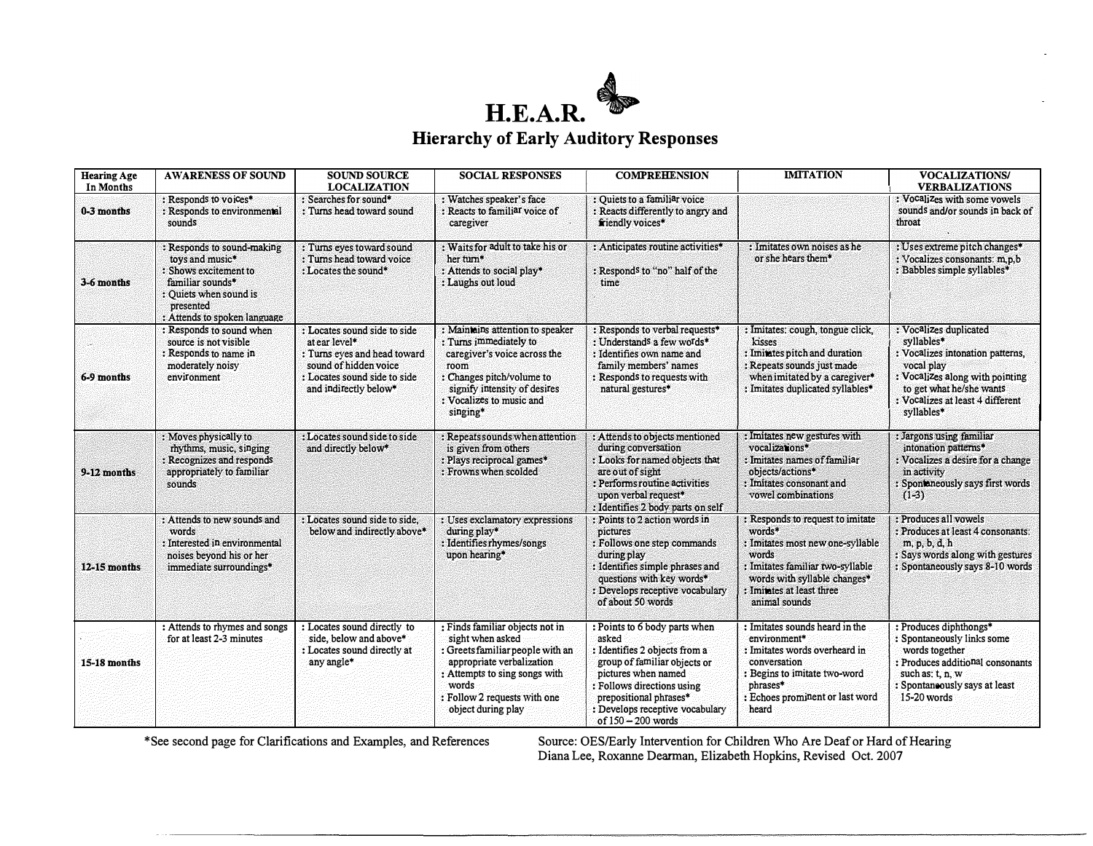

| <b>Hearing Age</b><br>In Months | <b>AWARENESS OF SOUND</b>                                                                                                                                         | <b>SOUND SOURCE</b><br><b>LOCALIZATION</b>                                                                                                                      | <b>SOCIAL RESPONSES</b>                                                                                                                                                                                              | <b>COMPREHENSION</b>                                                                                                                                                                                                                            | <b>IMITATION</b>                                                                                                                                                                                          | <b>VOCALIZATIONS/</b><br><b>VERBALIZATIONS</b>                                                                                                                                                          |
|---------------------------------|-------------------------------------------------------------------------------------------------------------------------------------------------------------------|-----------------------------------------------------------------------------------------------------------------------------------------------------------------|----------------------------------------------------------------------------------------------------------------------------------------------------------------------------------------------------------------------|-------------------------------------------------------------------------------------------------------------------------------------------------------------------------------------------------------------------------------------------------|-----------------------------------------------------------------------------------------------------------------------------------------------------------------------------------------------------------|---------------------------------------------------------------------------------------------------------------------------------------------------------------------------------------------------------|
| 0-3 months                      | : Responds to voices*<br>: Responds to environmental<br>sounds                                                                                                    | : Searches for sound*<br>: Turns head toward sound                                                                                                              | : Watches speaker's face<br>: Reacts to familiar voice of<br>caregiver                                                                                                                                               | : Ouiets to a familiar voice<br>: Reacts differently to angry and<br>friendly voices*                                                                                                                                                           |                                                                                                                                                                                                           | : Vocalizes with some vowels<br>sounds and/or sounds in back of<br>throat                                                                                                                               |
| 3-6 months                      | : Responds to sound-making<br>toys and music*<br>: Shows excitement to<br>familiar sounds*<br>: Ouiets when sound is<br>presented<br>: Attends to spoken language | : Turns eyes toward sound<br>: Turns head toward voice<br>: Locates the sound*                                                                                  | : Waits for adult to take his or<br>her turn*<br>: Attends to social play*<br>: Laughs out loud                                                                                                                      | : Anticipates routine activities*<br>: Responds to "no" half of the<br>time                                                                                                                                                                     | : Imitates own noises as he<br>or she hears them*                                                                                                                                                         | : Uses extreme pitch changes*<br>: Vocalizes consonants: m,p,b<br>: Babbles simple syllables*                                                                                                           |
| 6-9 months                      | : Responds to sound when<br>source is not visible<br>: Responds to name in<br>moderately noisy<br>environment                                                     | : Locates sound side to side<br>at ear level*<br>: Turns eves and head toward<br>sound of hidden voice<br>: Locates sound side to side<br>and indirectly below* | : Maintains attention to speaker<br>: Turns immediately to<br>caregiver's voice across the<br>room<br>: Changes pitch/volume to<br>signify intensity of desires<br>: Vocalizes to music and<br>singing*              | : Responds to verbal requests*<br>: Understands a few words*<br>: Identifies own name and<br>family members' names<br>: Responds to requests with<br>natural gestures*                                                                          | : Imitates: cough, tongue click,<br>kisses<br>: Imitates pitch and duration<br>: Repeats sounds just made<br>when imitated by a caregiver*<br>: Imitates duplicated syllables*                            | : Vocalizes duplicated<br>svllables*<br>: Vocalizes intonation patterns,<br>vocal play<br>: Vocalizes along with pointing<br>to get what he/she wants<br>: Vocalizes at least 4 different<br>syllables* |
| 9-12 months                     | : Moves physically to<br>rhythms, music, singing<br>: Recognizes and responds<br>appropriately to familiar<br>sounds                                              | : Locates sound side to side<br>and directly below*                                                                                                             | : Repeats sounds when attention<br>is given from others<br>: Plays reciprocal games*<br>: Frowns when scolded                                                                                                        | : Attends to objects mentioned<br>during conversation<br>: Looks for named objects that<br>are out of sight<br>: Performs routine activities<br>upon verbal request*<br>: Identifies 2 body parts on self                                       | : Imitates new gestures with<br>vocalizations*<br>: Imitates names of familiar<br>objects/actions*<br>: Imitates consonant and<br>vowel combinations                                                      | : Jargons using familiar<br>intonation patterns*<br>Vocalizes a desire for a change<br>in activity<br>Spontaneously says first words<br>$(1-3)$                                                         |
| 12-15 months                    | : Attends to new sounds and<br>words<br>: Interested in environmental<br>noises beyond his or her<br>immediate surroundings*                                      | : Locates sound side to side.<br>below and indirectly above*                                                                                                    | : Uses exclamatory expressions<br>during play*<br>: Identifies rhymes/songs<br>upon hearing*                                                                                                                         | : Points to 2 action words in<br><b>pictures</b><br>: Follows one step commands<br>during play<br>: Identifies simple phrases and<br>questions with key words*<br>: Develops receptive vocabulary<br>of about 50 words                          | : Responds to request to imitate<br>words*<br>: Imitates most new one-syllable<br>words<br>: Imitates familiar two-syllable<br>words with syllable changes*<br>: Imitates at least three<br>animal sounds | : Produces all vowels<br>: Produces at least 4 consonants:<br>m, p, b, d, h<br>: Says words along with gestures<br>: Spontaneously says 8-10 words                                                      |
| <b>15-18 months</b>             | : Attends to rhymes and songs<br>for at least 2-3 minutes                                                                                                         | : Locates sound directly to<br>side, below and above*<br>: Locates sound directly at<br>any angle*                                                              | : Finds familiar objects not in<br>sight when asked<br>: Greets familiar people with an<br>appropriate verbalization<br>: Attempts to sing songs with<br>words<br>: Follow 2 requests with one<br>object during play | : Points to 6 body parts when<br>asked<br>: Identifies 2 objects from a<br>group of familiar objects or<br>pictures when named<br>: Follows directions using<br>prepositional phrases*<br>: Develops receptive vocabulary<br>of 150 - 200 words | : Imitates sounds heard in the<br>environment*<br>: Imitates words overheard in<br>conversation<br>: Begins to imitate two-word<br>phrases*<br>: Echoes prominent or last word<br>heard                   | : Produces diphthongs*<br>: Spontaneously links some<br>words together<br>: Produces additional consonants<br>such as: $t, n, w$<br>: Spontaneously says at least<br>15-20 words                        |

\*See second page for Clarifications and Examples, and References Source: OES/Early Intervention for Children Who Are Deaf or Hard of Hearing Diana Lee, Roxanne Dearman, Elizabeth Hopkins, Revised Oct. 2007